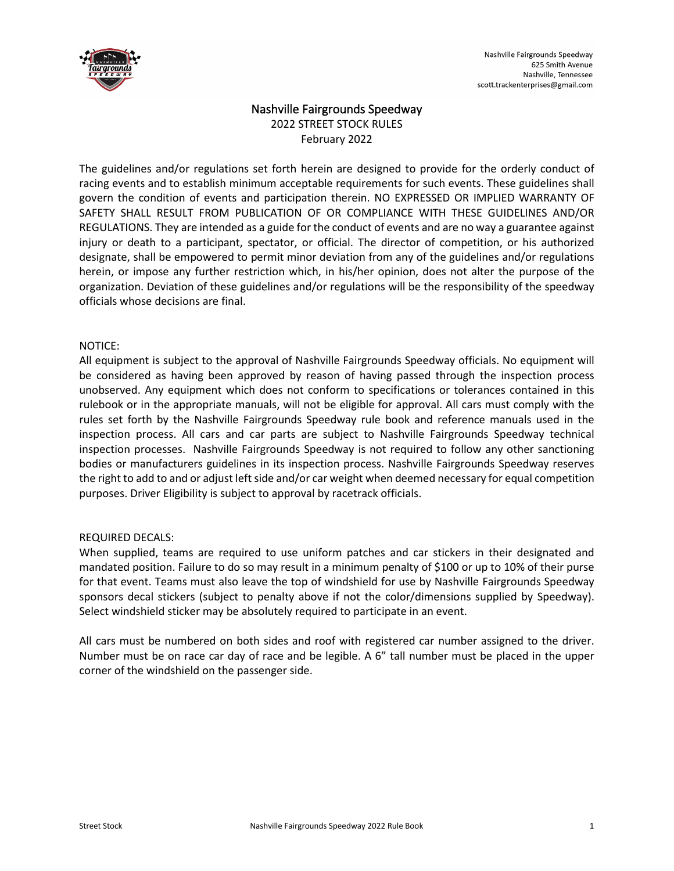

# Nashville Fairgrounds Speedway 2022 STREET STOCK RULES

February 2022

The guidelines and/or regulations set forth herein are designed to provide for the orderly conduct of racing events and to establish minimum acceptable requirements for such events. These guidelines shall govern the condition of events and participation therein. NO EXPRESSED OR IMPLIED WARRANTY OF SAFETY SHALL RESULT FROM PUBLICATION OF OR COMPLIANCE WITH THESE GUIDELINES AND/OR REGULATIONS. They are intended as a guide for the conduct of events and are no way a guarantee against injury or death to a participant, spectator, or official. The director of competition, or his authorized designate, shall be empowered to permit minor deviation from any of the guidelines and/or regulations herein, or impose any further restriction which, in his/her opinion, does not alter the purpose of the organization. Deviation of these guidelines and/or regulations will be the responsibility of the speedway officials whose decisions are final.

### NOTICE:

All equipment is subject to the approval of Nashville Fairgrounds Speedway officials. No equipment will be considered as having been approved by reason of having passed through the inspection process unobserved. Any equipment which does not conform to specifications or tolerances contained in this rulebook or in the appropriate manuals, will not be eligible for approval. All cars must comply with the rules set forth by the Nashville Fairgrounds Speedway rule book and reference manuals used in the inspection process. All cars and car parts are subject to Nashville Fairgrounds Speedway technical inspection processes. Nashville Fairgrounds Speedway is not required to follow any other sanctioning bodies or manufacturers guidelines in its inspection process. Nashville Fairgrounds Speedway reserves the right to add to and or adjust left side and/or car weight when deemed necessary for equal competition purposes. Driver Eligibility is subject to approval by racetrack officials.

# REQUIRED DECALS:

When supplied, teams are required to use uniform patches and car stickers in their designated and mandated position. Failure to do so may result in a minimum penalty of \$100 or up to 10% of their purse for that event. Teams must also leave the top of windshield for use by Nashville Fairgrounds Speedway sponsors decal stickers (subject to penalty above if not the color/dimensions supplied by Speedway). Select windshield sticker may be absolutely required to participate in an event.

All cars must be numbered on both sides and roof with registered car number assigned to the driver. Number must be on race car day of race and be legible. A 6" tall number must be placed in the upper corner of the windshield on the passenger side.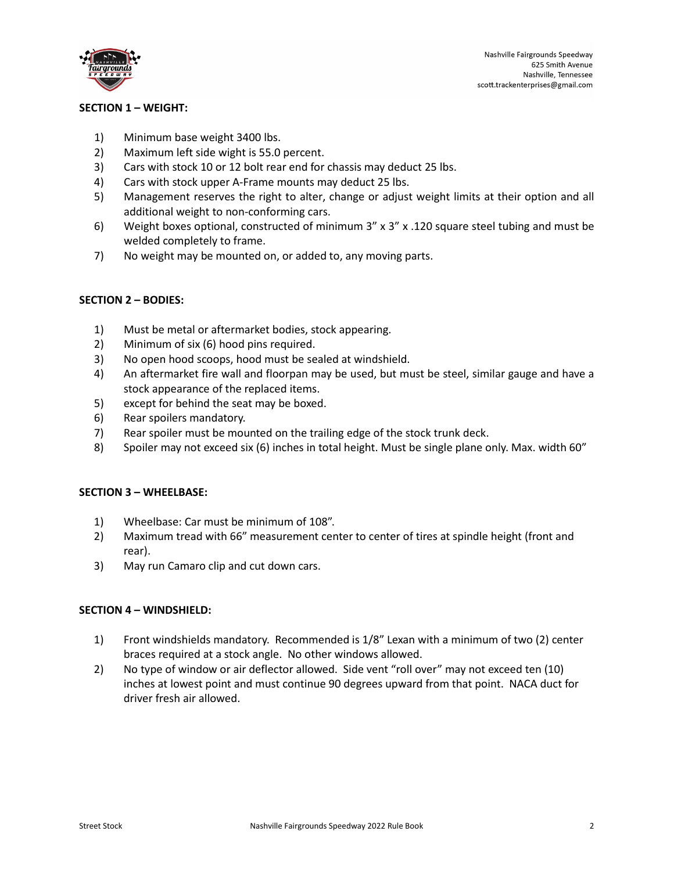

# **SECTION 1 – WEIGHT:**

- 1) Minimum base weight 3400 lbs.
- 2) Maximum left side wight is 55.0 percent.
- 3) Cars with stock 10 or 12 bolt rear end for chassis may deduct 25 lbs.
- 4) Cars with stock upper A-Frame mounts may deduct 25 lbs.
- 5) Management reserves the right to alter, change or adjust weight limits at their option and all additional weight to non-conforming cars.
- 6) Weight boxes optional, constructed of minimum  $3'' \times 3'' \times 120$  square steel tubing and must be welded completely to frame.
- 7) No weight may be mounted on, or added to, any moving parts.

### **SECTION 2 – BODIES:**

- 1) Must be metal or aftermarket bodies, stock appearing.
- 2) Minimum of six (6) hood pins required.
- 3) No open hood scoops, hood must be sealed at windshield.
- 4) An aftermarket fire wall and floorpan may be used, but must be steel, similar gauge and have a stock appearance of the replaced items.
- 5) except for behind the seat may be boxed.
- 6) Rear spoilers mandatory.
- 7) Rear spoiler must be mounted on the trailing edge of the stock trunk deck.
- 8) Spoiler may not exceed six (6) inches in total height. Must be single plane only. Max. width 60"

#### **SECTION 3 – WHEELBASE:**

- 1) Wheelbase: Car must be minimum of 108".
- 2) Maximum tread with 66" measurement center to center of tires at spindle height (front and rear).
- 3) May run Camaro clip and cut down cars.

#### **SECTION 4 – WINDSHIELD:**

- 1) Front windshields mandatory. Recommended is 1/8" Lexan with a minimum of two (2) center braces required at a stock angle. No other windows allowed.
- 2) No type of window or air deflector allowed. Side vent "roll over" may not exceed ten (10) inches at lowest point and must continue 90 degrees upward from that point. NACA duct for driver fresh air allowed.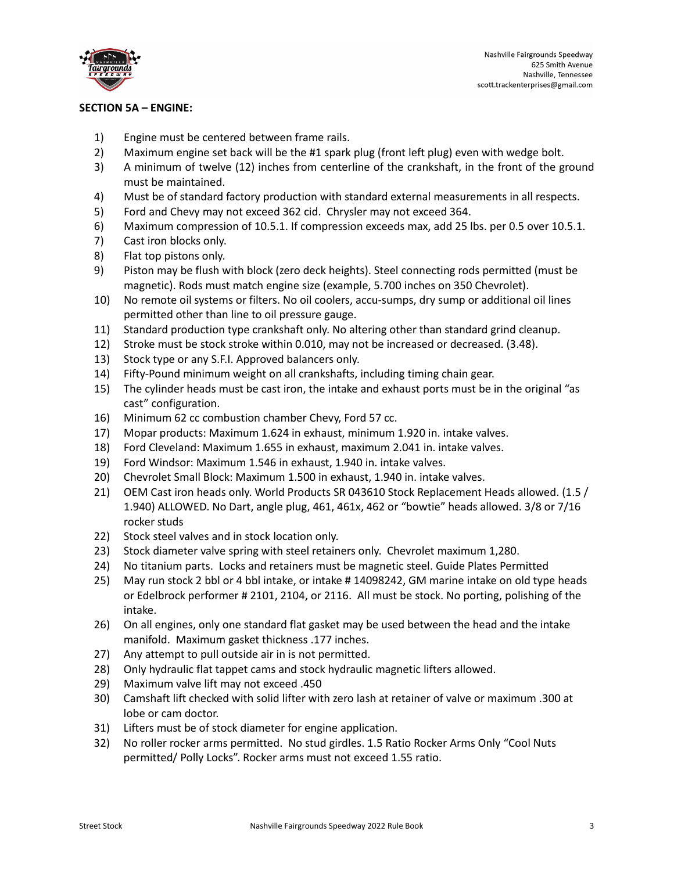

# **SECTION 5A – ENGINE:**

- 1) Engine must be centered between frame rails.
- 2) Maximum engine set back will be the #1 spark plug (front left plug) even with wedge bolt.
- 3) A minimum of twelve (12) inches from centerline of the crankshaft, in the front of the ground must be maintained.
- 4) Must be of standard factory production with standard external measurements in all respects.
- 5) Ford and Chevy may not exceed 362 cid. Chrysler may not exceed 364.
- 6) Maximum compression of 10.5.1. If compression exceeds max, add 25 lbs. per 0.5 over 10.5.1.
- 7) Cast iron blocks only.
- 8) Flat top pistons only.
- 9) Piston may be flush with block (zero deck heights). Steel connecting rods permitted (must be magnetic). Rods must match engine size (example, 5.700 inches on 350 Chevrolet).
- 10) No remote oil systems or filters. No oil coolers, accu-sumps, dry sump or additional oil lines permitted other than line to oil pressure gauge.
- 11) Standard production type crankshaft only. No altering other than standard grind cleanup.
- 12) Stroke must be stock stroke within 0.010, may not be increased or decreased. (3.48).
- 13) Stock type or any S.F.I. Approved balancers only.
- 14) Fifty-Pound minimum weight on all crankshafts, including timing chain gear.
- 15) The cylinder heads must be cast iron, the intake and exhaust ports must be in the original "as cast" configuration.
- 16) Minimum 62 cc combustion chamber Chevy, Ford 57 cc.
- 17) Mopar products: Maximum 1.624 in exhaust, minimum 1.920 in. intake valves.
- 18) Ford Cleveland: Maximum 1.655 in exhaust, maximum 2.041 in. intake valves.
- 19) Ford Windsor: Maximum 1.546 in exhaust, 1.940 in. intake valves.
- 20) Chevrolet Small Block: Maximum 1.500 in exhaust, 1.940 in. intake valves.
- 21) OEM Cast iron heads only. World Products SR 043610 Stock Replacement Heads allowed. (1.5 / 1.940) ALLOWED. No Dart, angle plug, 461, 461x, 462 or "bowtie" heads allowed. 3/8 or 7/16 rocker studs
- 22) Stock steel valves and in stock location only.
- 23) Stock diameter valve spring with steel retainers only. Chevrolet maximum 1,280.
- 24) No titanium parts. Locks and retainers must be magnetic steel. Guide Plates Permitted
- 25) May run stock 2 bbl or 4 bbl intake, or intake # 14098242, GM marine intake on old type heads or Edelbrock performer # 2101, 2104, or 2116. All must be stock. No porting, polishing of the intake.
- 26) On all engines, only one standard flat gasket may be used between the head and the intake manifold. Maximum gasket thickness .177 inches.
- 27) Any attempt to pull outside air in is not permitted.
- 28) Only hydraulic flat tappet cams and stock hydraulic magnetic lifters allowed.
- 29) Maximum valve lift may not exceed .450
- 30) Camshaft lift checked with solid lifter with zero lash at retainer of valve or maximum .300 at lobe or cam doctor.
- 31) Lifters must be of stock diameter for engine application.
- 32) No roller rocker arms permitted. No stud girdles. 1.5 Ratio Rocker Arms Only "Cool Nuts permitted/ Polly Locks". Rocker arms must not exceed 1.55 ratio.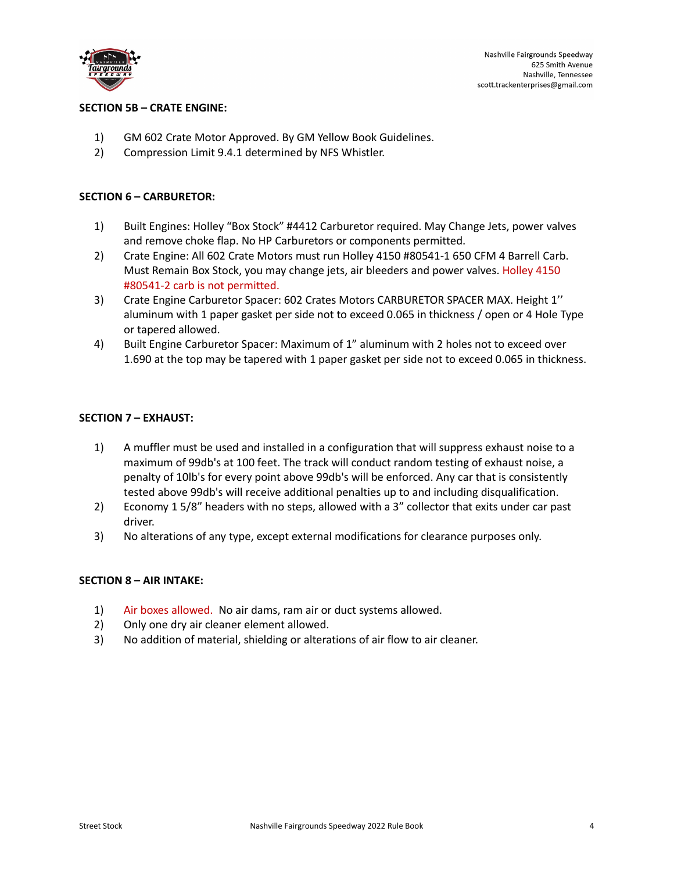

# **SECTION 5B – CRATE ENGINE:**

- 1) GM 602 Crate Motor Approved. By GM Yellow Book Guidelines.
- 2) Compression Limit 9.4.1 determined by NFS Whistler.

#### **SECTION 6 – CARBURETOR:**

- 1) Built Engines: Holley "Box Stock" #4412 Carburetor required. May Change Jets, power valves and remove choke flap. No HP Carburetors or components permitted.
- 2) Crate Engine: All 602 Crate Motors must run Holley 4150 #80541-1 650 CFM 4 Barrell Carb. Must Remain Box Stock, you may change jets, air bleeders and power valves. Holley 4150 #80541-2 carb is not permitted.
- 3) Crate Engine Carburetor Spacer: 602 Crates Motors CARBURETOR SPACER MAX. Height 1'' aluminum with 1 paper gasket per side not to exceed 0.065 in thickness / open or 4 Hole Type or tapered allowed.
- 4) Built Engine Carburetor Spacer: Maximum of 1" aluminum with 2 holes not to exceed over 1.690 at the top may be tapered with 1 paper gasket per side not to exceed 0.065 in thickness.

### **SECTION 7 – EXHAUST:**

- 1) A muffler must be used and installed in a configuration that will suppress exhaust noise to a maximum of 99db's at 100 feet. The track will conduct random testing of exhaust noise, a penalty of 10lb's for every point above 99db's will be enforced. Any car that is consistently tested above 99db's will receive additional penalties up to and including disqualification.
- 2) Economy 1 5/8" headers with no steps, allowed with a 3" collector that exits under car past driver.
- 3) No alterations of any type, except external modifications for clearance purposes only.

#### **SECTION 8 – AIR INTAKE:**

- 1) Air boxes allowed. No air dams, ram air or duct systems allowed.
- 2) Only one dry air cleaner element allowed.
- 3) No addition of material, shielding or alterations of air flow to air cleaner.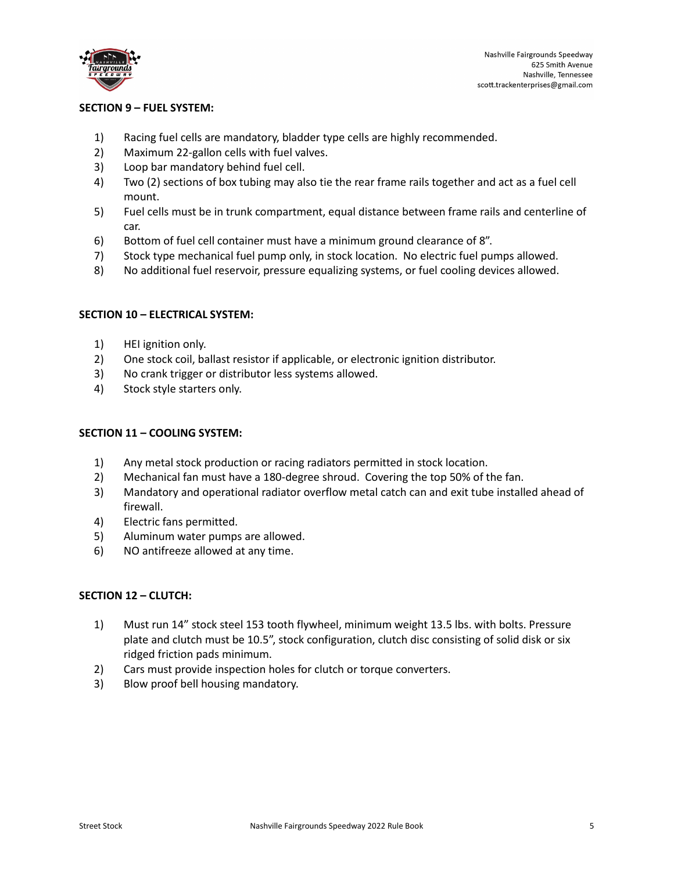

## **SECTION 9 – FUEL SYSTEM:**

- 1) Racing fuel cells are mandatory, bladder type cells are highly recommended.
- 2) Maximum 22-gallon cells with fuel valves.
- 3) Loop bar mandatory behind fuel cell.
- 4) Two (2) sections of box tubing may also tie the rear frame rails together and act as a fuel cell mount.
- 5) Fuel cells must be in trunk compartment, equal distance between frame rails and centerline of car.
- 6) Bottom of fuel cell container must have a minimum ground clearance of 8".
- 7) Stock type mechanical fuel pump only, in stock location. No electric fuel pumps allowed.
- 8) No additional fuel reservoir, pressure equalizing systems, or fuel cooling devices allowed.

## **SECTION 10 – ELECTRICAL SYSTEM:**

- 1) HEI ignition only.
- 2) One stock coil, ballast resistor if applicable, or electronic ignition distributor.
- 3) No crank trigger or distributor less systems allowed.
- 4) Stock style starters only.

#### **SECTION 11 – COOLING SYSTEM:**

- 1) Any metal stock production or racing radiators permitted in stock location.
- 2) Mechanical fan must have a 180-degree shroud. Covering the top 50% of the fan.
- 3) Mandatory and operational radiator overflow metal catch can and exit tube installed ahead of firewall.
- 4) Electric fans permitted.
- 5) Aluminum water pumps are allowed.
- 6) NO antifreeze allowed at any time.

#### **SECTION 12 – CLUTCH:**

- 1) Must run 14" stock steel 153 tooth flywheel, minimum weight 13.5 lbs. with bolts. Pressure plate and clutch must be 10.5", stock configuration, clutch disc consisting of solid disk or six ridged friction pads minimum.
- 2) Cars must provide inspection holes for clutch or torque converters.
- 3) Blow proof bell housing mandatory.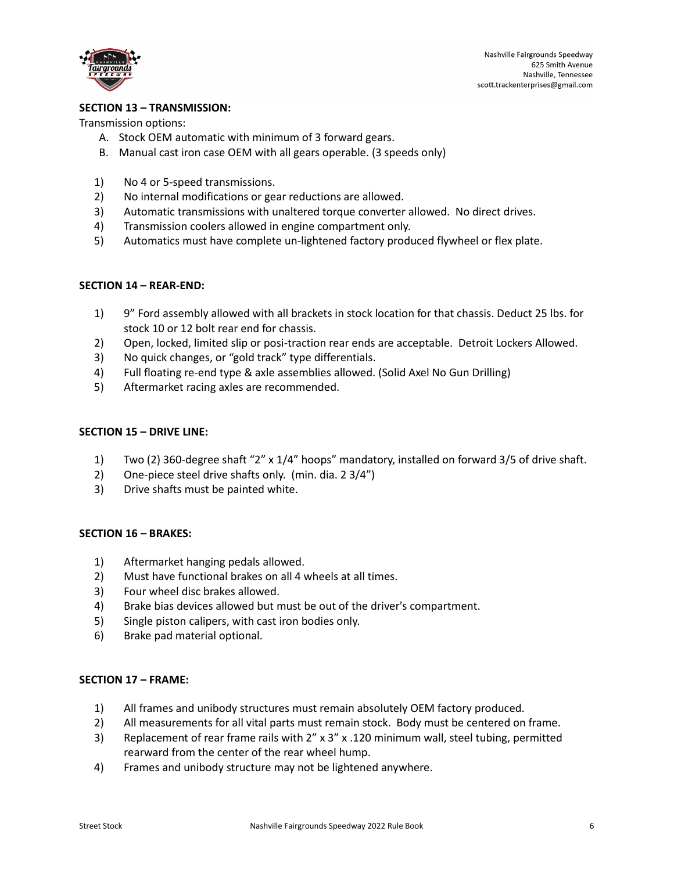

Nashville Fairgrounds Speedway 625 Smith Avenue Nashville, Tennessee scott.trackenterprises@gmail.com

# **SECTION 13 – TRANSMISSION:**

Transmission options:

- A. Stock OEM automatic with minimum of 3 forward gears.
- B. Manual cast iron case OEM with all gears operable. (3 speeds only)
- 1) No 4 or 5-speed transmissions.
- 2) No internal modifications or gear reductions are allowed.
- 3) Automatic transmissions with unaltered torque converter allowed. No direct drives.
- 4) Transmission coolers allowed in engine compartment only.
- 5) Automatics must have complete un-lightened factory produced flywheel or flex plate.

#### **SECTION 14 – REAR-END:**

- 1) 9" Ford assembly allowed with all brackets in stock location for that chassis. Deduct 25 lbs. for stock 10 or 12 bolt rear end for chassis.
- 2) Open, locked, limited slip or posi-traction rear ends are acceptable. Detroit Lockers Allowed.
- 3) No quick changes, or "gold track" type differentials.
- 4) Full floating re-end type & axle assemblies allowed. (Solid Axel No Gun Drilling)
- 5) Aftermarket racing axles are recommended.

#### **SECTION 15 – DRIVE LINE:**

- 1) Two (2) 360-degree shaft "2" x 1/4" hoops" mandatory, installed on forward 3/5 of drive shaft.
- 2) One-piece steel drive shafts only. (min. dia. 2 3/4")
- 3) Drive shafts must be painted white.

#### **SECTION 16 – BRAKES:**

- 1) Aftermarket hanging pedals allowed.
- 2) Must have functional brakes on all 4 wheels at all times.
- 3) Four wheel disc brakes allowed.
- 4) Brake bias devices allowed but must be out of the driver's compartment.
- 5) Single piston calipers, with cast iron bodies only.
- 6) Brake pad material optional.

#### **SECTION 17 – FRAME:**

- 1) All frames and unibody structures must remain absolutely OEM factory produced.
- 2) All measurements for all vital parts must remain stock. Body must be centered on frame.
- 3) Replacement of rear frame rails with 2" x 3" x .120 minimum wall, steel tubing, permitted rearward from the center of the rear wheel hump.
- 4) Frames and unibody structure may not be lightened anywhere.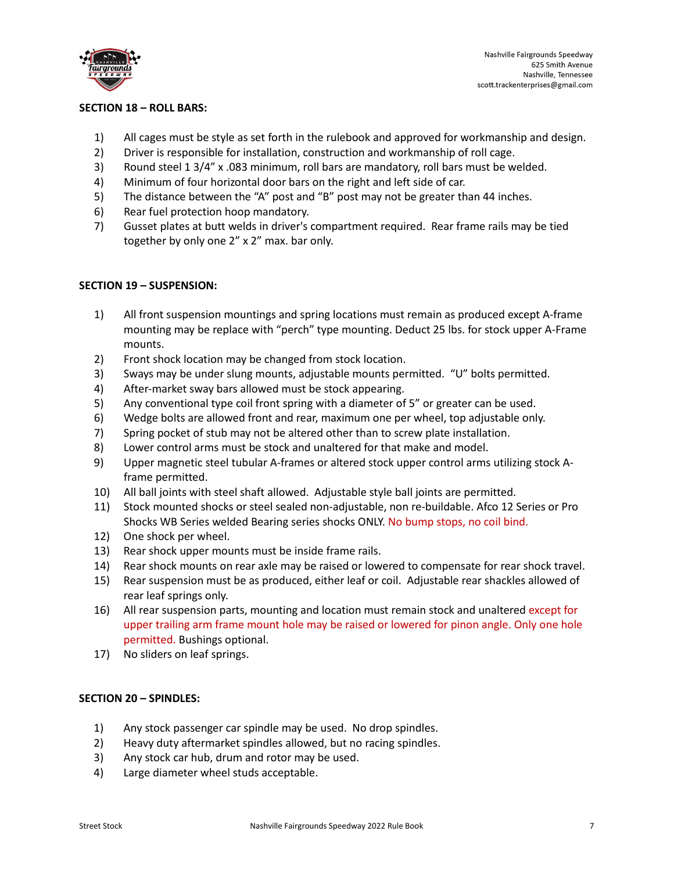

# **SECTION 18 – ROLL BARS:**

- 1) All cages must be style as set forth in the rulebook and approved for workmanship and design.
- 2) Driver is responsible for installation, construction and workmanship of roll cage.
- 3) Round steel 1 3/4" x .083 minimum, roll bars are mandatory, roll bars must be welded.
- 4) Minimum of four horizontal door bars on the right and left side of car.
- 5) The distance between the "A" post and "B" post may not be greater than 44 inches.
- 6) Rear fuel protection hoop mandatory.
- 7) Gusset plates at butt welds in driver's compartment required. Rear frame rails may be tied together by only one 2" x 2" max. bar only.

### **SECTION 19 – SUSPENSION:**

- 1) All front suspension mountings and spring locations must remain as produced except A-frame mounting may be replace with "perch" type mounting. Deduct 25 lbs. for stock upper A-Frame mounts.
- 2) Front shock location may be changed from stock location.
- 3) Sways may be under slung mounts, adjustable mounts permitted. "U" bolts permitted.
- 4) After-market sway bars allowed must be stock appearing.
- 5) Any conventional type coil front spring with a diameter of 5" or greater can be used.
- 6) Wedge bolts are allowed front and rear, maximum one per wheel, top adjustable only.
- 7) Spring pocket of stub may not be altered other than to screw plate installation.
- 8) Lower control arms must be stock and unaltered for that make and model.
- 9) Upper magnetic steel tubular A-frames or altered stock upper control arms utilizing stock Aframe permitted.
- 10) All ball joints with steel shaft allowed. Adjustable style ball joints are permitted.
- 11) Stock mounted shocks or steel sealed non-adjustable, non re-buildable. Afco 12 Series or Pro Shocks WB Series welded Bearing series shocks ONLY. No bump stops, no coil bind.
- 12) One shock per wheel.
- 13) Rear shock upper mounts must be inside frame rails.
- 14) Rear shock mounts on rear axle may be raised or lowered to compensate for rear shock travel.
- 15) Rear suspension must be as produced, either leaf or coil. Adjustable rear shackles allowed of rear leaf springs only.
- 16) All rear suspension parts, mounting and location must remain stock and unaltered except for upper trailing arm frame mount hole may be raised or lowered for pinon angle. Only one hole permitted. Bushings optional.
- 17) No sliders on leaf springs.

# **SECTION 20 – SPINDLES:**

- 1) Any stock passenger car spindle may be used. No drop spindles.
- 2) Heavy duty aftermarket spindles allowed, but no racing spindles.
- 3) Any stock car hub, drum and rotor may be used.
- 4) Large diameter wheel studs acceptable.